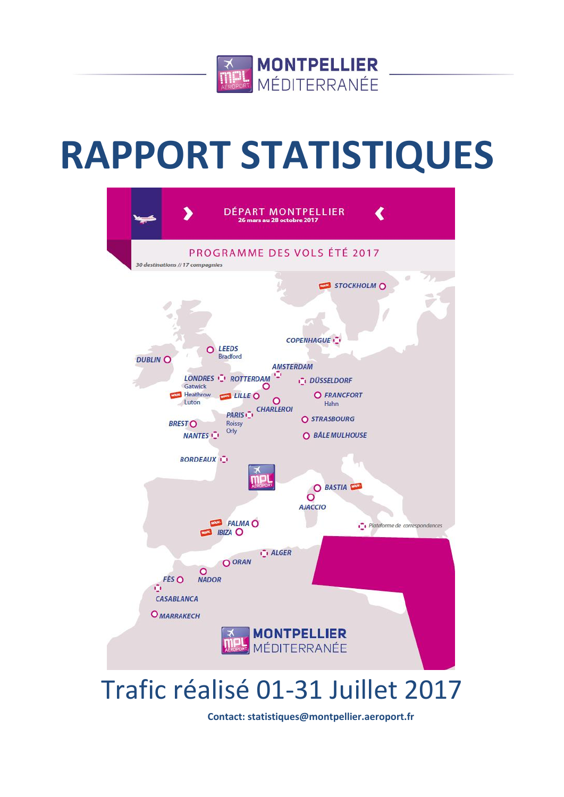

# **RAPPORT STATISTIQUES**



## Trafic réalisé 01-31 Juillet 2017

**Contact: statistiques@montpellier.aeroport.fr**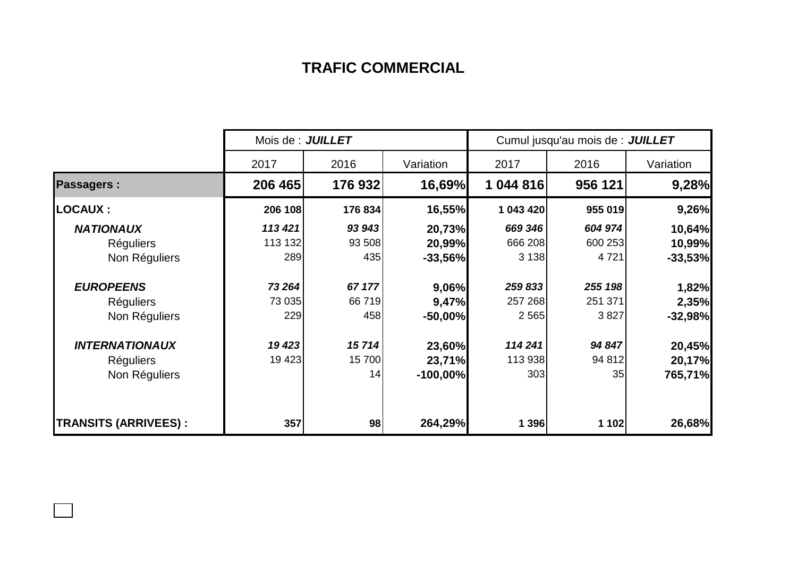### **TRAFIC COMMERCIAL**

|                             | Mois de : JUILLET |         |            | Cumul jusqu'au mois de : JUILLET |         |           |  |
|-----------------------------|-------------------|---------|------------|----------------------------------|---------|-----------|--|
|                             | 2017              | 2016    | Variation  | 2017                             | 2016    | Variation |  |
| <b>Passagers:</b>           | 206 465           | 176932  | 16,69%     | 1 044 816                        | 956 121 | 9,28%     |  |
| LOCAUX :                    | 206 108           | 176 834 | 16,55%     | 1 043 420                        | 955 019 | 9,26%     |  |
| <b>NATIONAUX</b>            | 113 421           | 93 943  | 20,73%     | 669 346                          | 604 974 | 10,64%    |  |
| <b>Réguliers</b>            | 113 132           | 93 508  | 20,99%     | 666 208                          | 600 253 | 10,99%    |  |
| Non Réguliers               | 289               | 435     | $-33,56%$  | 3 1 3 8                          | 4 7 2 1 | $-33,53%$ |  |
| <b>EUROPEENS</b>            | 73 264            | 67 177  | 9,06%      | 259 833                          | 255 198 | 1,82%     |  |
| <b>Réguliers</b>            | 73 035            | 66 719  | 9,47%      | 257 268                          | 251 371 | 2,35%     |  |
| Non Réguliers               | 229               | 458     | $-50,00%$  | 2 5 6 5                          | 3827    | $-32,98%$ |  |
| <b>INTERNATIONAUX</b>       | 19 423            | 15714   | 23,60%     | 114 241                          | 94 847  | 20,45%    |  |
| <b>Réguliers</b>            | 19 4 23           | 15 700  | 23,71%     | 113 938                          | 94 812  | 20,17%    |  |
| Non Réguliers               |                   | 14      | $-100,00%$ | 303                              | 35      | 765,71%   |  |
| <b>TRANSITS (ARRIVEES):</b> | 357               | 98      | 264,29%    | 1 396                            | 1 102   | 26,68%    |  |

 $\Box$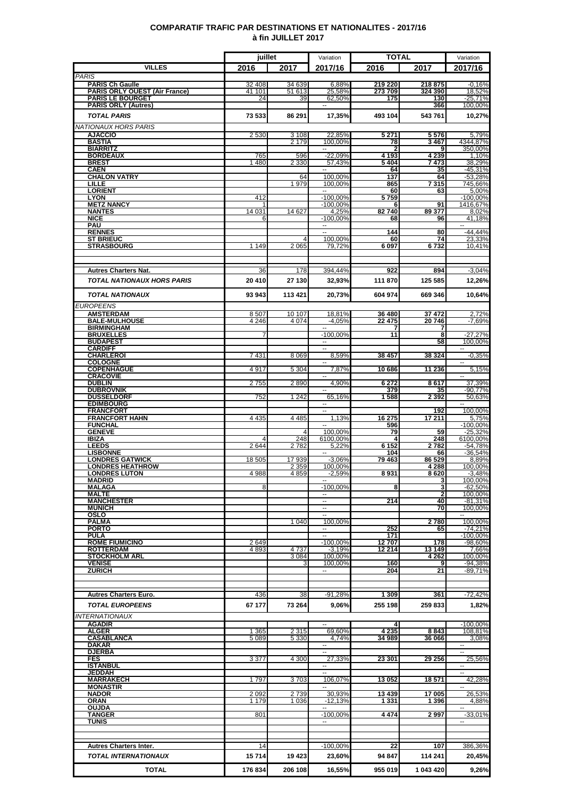#### **COMPARATIF TRAFIC PAR DESTINATIONS ET NATIONALITES - 2017/16 à fin JUILLET 2017**

|                                           | juillet      |                    | Variation                            | <b>TOTAL</b>    |                    | Variation               |
|-------------------------------------------|--------------|--------------------|--------------------------------------|-----------------|--------------------|-------------------------|
| <b>VILLES</b>                             | 2016         | 2017               | 2017/16                              | 2016            | 2017               | 2017/16                 |
| <b>PARIS</b><br><b>PARIS Ch Gaulle</b>    | 32 408       | 34 639             | 6,88%                                | 219 220         | 218 875            | $-0,16%$                |
| PARIS ORLY OUEST (Air France)             | 41 101       | 51 613             | 25,58%                               | 273 709         | 324 390            | 18,52%                  |
| <b>PARIS LE BOURGET</b>                   | 24           | 39                 | 62,50%                               | 175             | 130                | $-25,71%$<br>100.00%    |
| <b>PARIS ORLY (Autres)</b>                |              |                    | н.                                   |                 | 366                |                         |
| <b>TOTAL PARIS</b>                        | 73 533       | 86 291             | 17,35%                               | 493 104         | 543 761            | 10,27%                  |
| NATIONAUX HORS PARIS                      |              |                    |                                      |                 |                    |                         |
| <b>AJACCIO</b><br><b>BASTIA</b>           | 2 5 3 0      | 3 1 0 8<br>2 1 7 9 | 22,85%<br>100,00%                    | 5 2 7 1<br>78   | 5576<br>3467       | 5,79%<br>4344,87%       |
| <b>BIARRITZ</b>                           |              |                    | −−                                   |                 | 9                  | 350,00%                 |
| <b>BORDEAUX</b><br>BREST                  | 765<br>1480  | 596<br>2 3 3 0     | $-22.09%$<br>57,43%                  | 4 193<br>5404   | 4 2 3 9<br>7 473   | 1,10%<br>38,29%         |
| <b>CAEN</b>                               |              |                    |                                      | 64              | 35                 | $-45,31%$               |
| <b>CHALON VATRY</b><br>LILLE              |              | 64<br>1979         | 100,00%                              | 137             | 64                 | -53,28%                 |
| <b>LORIENT</b>                            |              |                    | 100,00%<br>$\overline{a}$            | 865<br>60       | 7 315<br>63        | 745,66%<br>5,00%        |
| <b>LYON</b>                               | 412          |                    | $-100,00%$                           | 5759            |                    | $-100,00%$              |
| <b>METZ NANCY</b><br><b>NANTES</b>        | 14 031       | 14 627             | $-100.00\%$<br>4,25%                 | 6<br>82740      | 91<br>89 377       | 1416,67%<br>8,02%       |
| <b>NICE</b>                               | 6            |                    | $-100,00%$                           | 68              | 96                 | 41,18%                  |
| PAU                                       |              |                    | <br>$\sim$                           |                 |                    | $\sim$                  |
| <b>RENNES</b><br><b>ST BRIEUC</b>         |              |                    | 100,00%                              | 144<br>60       | 80<br>74           | $-44,44%$<br>23,33%     |
| <b>STRASBOURG</b>                         | 1 1 4 9      | 2 0 6 5            | 79.72%                               | 6097            | 6732               | 10.41%                  |
|                                           |              |                    |                                      |                 |                    |                         |
| <b>Autres Charters Nat.</b>               | 36           | 178                | 394,44%                              | 922             | 894                | $-3,04%$                |
|                                           |              |                    |                                      |                 |                    |                         |
| <b>TOTAL NATIONAUX HORS PARIS</b>         | 20 410       | 27 130             | 32,93%                               | 111 870         | 125 585            | 12,26%                  |
| <b>TOTAL NATIONAUX</b>                    | 93 943       | 113 421            | 20,73%                               | 604 974         | 669 346            | 10,64%                  |
| EUROPEENS                                 |              |                    |                                      |                 |                    |                         |
| <b>AMSTERDAM</b>                          | 8507         | 10 107             | 18.81%                               | 36 480          | 37 472             | 2,72%                   |
| <b>BALE-MULHOUSE</b><br>BIRMINGHAM        | 4 2 4 6      | 4074               | $-4.05%$<br>$\overline{\phantom{a}}$ | 22 475          | 20746              | $-7,69%$                |
| <b>BRUXELLES</b>                          |              |                    | $-100,00%$                           | 11              | 7<br>8             | $-27,27%$               |
| <b>BUDAPEST</b>                           |              |                    | ۰.                                   |                 | 58                 | 100.00%                 |
| <b>CARDIFF</b><br><b>CHARLEROI</b>        | 7431         | 8 0 6 9            | $\overline{\phantom{a}}$<br>8,59%    | 38 457          | 38 3 24            | $-0,35%$                |
| <b>COLOGNE</b>                            |              |                    |                                      |                 |                    |                         |
| <b>COPENHAGUE</b>                         | 4917         | 5 3 0 4            | 7,87%                                | 10 686          | 11 236             | 5,15%                   |
| <b>CRACOVIE</b><br><b>DUBLIN</b>          | 2755         | 2890               | $\overline{\phantom{a}}$<br>4,90%    | 6 2 7 2         | 8617               | $\sim$<br>37,39%        |
| <b>DUBROVNIK</b>                          |              |                    | --                                   | 379             | 35                 | $-90,77%$               |
| <b>DUSSELDORF</b><br><b>EDIMBOURG</b>     | 752          | 1 2 4 2            | 65,16%                               | 1588            | 2 3 9 2            | 50,63%<br>۰.            |
| <b>FRANCFORT</b>                          |              |                    | ۰.<br>$\overline{\phantom{a}}$       |                 | 192                | 100,00%                 |
| <b>FRANCFORT HAHN</b>                     | 4 4 3 5      | 4 4 8 5            | 1,13%                                | 16 275          | 17 211             | 5,75%                   |
| <b>FUNCHAL</b><br><b>GENEVE</b>           |              |                    | $\overline{\phantom{a}}$<br>100.00%  | 596<br>79       | 59                 | $-100,00%$<br>$-25,32%$ |
| <b>IBIZA</b>                              | Δ            | 248                | 6100.00%                             |                 | 248                | 6100,00%                |
| LEEDS<br><b>LISBONNE</b>                  | 2644         | 2782               | 5,22%<br>$\sim$                      | 6 152<br>104    | 2782               | $-54,78%$<br>$-36.54%$  |
| <b>LONDRES GATWICK</b>                    | 18 505       | 17939              | $-3,06%$                             | 79 463          | 66<br>86 529       | 8,89%                   |
| <b>LONDRES HEATHROW</b>                   |              | 2 359              | 100,00%                              |                 | 4 288              | 100,00%                 |
| <b>LONDRES LUTON</b><br>MADRID            | 4 9 8 8      | 4859               | $-2,59%$                             | 8931            | 8620<br>3          | $-3,48%$<br>100,00%     |
| MALAGA                                    | 8            |                    | $-100.00\%$                          | 8               | 3                  | $-62,50%$               |
| <b>MALTE</b><br><b>MANCHESTER</b>         |              |                    | $\overline{\phantom{a}}$             | 214             | $\mathbf{2}$<br>40 | 100,00%<br>$-81,31%$    |
| <b>MUNICH</b>                             |              |                    | $\sim$                               |                 | 70                 | 100.00%                 |
| OSLO                                      |              |                    |                                      |                 |                    | $\sim$                  |
| <b>PALMA</b><br>PORTO                     |              | 1 0 4 0            | 100,00%                              | 252             | 2780<br>65         | 100,00%<br>$-74,21%$    |
| <b>PULA</b>                               |              |                    | u.                                   | 171             |                    | $-100,00\%$             |
| <b>ROME FIUMICINO</b><br><b>ROTTERDAM</b> | 2649<br>4893 | 4 7 3 7            | $-100,00\%$<br>$-3,19%$              | 12707<br>12 214 | 178<br>13 149      | $-98,60%$               |
| <b>STOCKHOLM ARL</b>                      |              | 3084               | 100,00%                              |                 | 4 2 6 2            | 7,66%<br>100,00%        |
| <b>VENISE</b>                             |              |                    | 100,00%                              | 160             | 9                  | $-94.38%$               |
| <b>ZURICH</b>                             |              |                    | $\overline{\phantom{a}}$             | 204             | 21                 | -89,71%                 |
|                                           |              |                    |                                      |                 |                    |                         |
| <b>Autres Charters Euro.</b>              | 436          | 38                 | $-91,28%$                            | 1 309           | 361                | $-72.42%$               |
| <b>TOTAL EUROPEENS</b>                    | 67 177       | 73 264             | 9,06%                                | 255 198         | 259 833            | 1,82%                   |
| <i><b>INTERNATIONAUX</b></i>              |              |                    |                                      |                 |                    |                         |
| <b>AGADIR</b>                             |              |                    |                                      |                 |                    | $-100,00%$              |
| <b>ALGER</b>                              | 1 3 6 5      | 2315               | 69,60%                               | 4 235           | 8843               | 108,81%                 |
| <b>CASABLANCA</b><br>DAKAR                | 5 0 8 9      | 5 3 3 0            | 4.74%<br>−−                          | 34 989          | 36 066             | 3.08%<br>н.             |
| <b>DJERBA</b>                             |              |                    | $\ddotsc$                            |                 |                    | $\sim$                  |
| FES                                       | 3 3 7 7      | 4 300              | 27,33%                               | 23 301          | 29 25 6            | 25,56%                  |
| <b>ISTANBUL</b><br><b>JEDDAH</b>          |              |                    | −−                                   |                 |                    | $\sim$                  |
| <b>MARRAKECH</b>                          | 1797         | 3703               | 106,07%                              | 13 052          | 18 571             | 42,28%                  |
| <b>MONASTIR</b><br><b>NADOR</b>           | 2 0 9 2      | 2739               | 30,93%                               | 13 4 39         | 17 005             | $\sim$<br>26,53%        |
| ORAN                                      | 1 179        | 1 0 3 6            | $-12,13%$                            | 1 331           | 1 3 9 6            | 4,88%                   |
| <b>OUJDA</b>                              |              |                    | $\overline{a}$                       |                 |                    |                         |
| <b>TANGER</b><br><b>TUNIS</b>             | 801          |                    | $-100,00%$                           | 4474            | 2997               | $-33,01%$               |
|                                           |              |                    |                                      |                 |                    |                         |
|                                           |              |                    |                                      |                 |                    |                         |
| <b>Autres Charters Inter.</b>             | 14           |                    | $-100,00%$                           | 22              | 107                | 386,36%                 |
| <b>TOTAL INTERNATIONAUX</b>               | 15714        | 19 423             | 23,60%                               | 94 847          | 114 241            | 20,45%                  |
| <b>TOTAL</b>                              | 176 834      | 206 108            | 16,55%                               | 955 019         | 1 043 420          | 9,26%                   |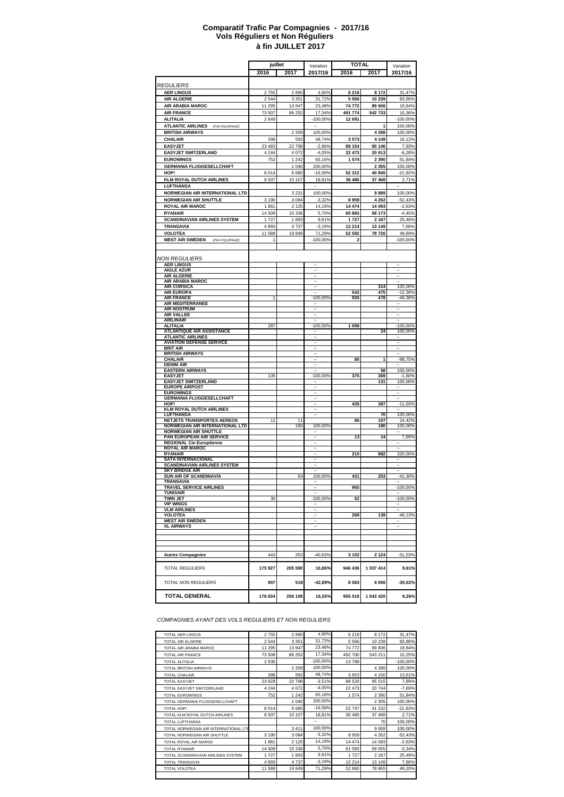#### **à fin JUILLET 2017 Comparatif Trafic Par Compagnies - 2017/16 Vols Réguliers et Non Réguliers**

|                                                                  | juillet        |                 | Variation                      |                   | <b>TOTAL</b>      | Variation                |
|------------------------------------------------------------------|----------------|-----------------|--------------------------------|-------------------|-------------------|--------------------------|
|                                                                  | 2016           | 2017            | 2017/16                        | 2016              | 2017              | 2017/16                  |
|                                                                  |                |                 |                                |                   |                   |                          |
| <i>REGULIERS</i>                                                 |                |                 |                                |                   |                   |                          |
| <b>AER LINGUS</b>                                                | 2755           | 2890            | 4,90%                          | 6 216             | 8 1 7 2           | 31,47%                   |
| <b>AIR ALGERIE</b>                                               | 2 5 4 4        | 3 3 5 1         | 31,72%                         | 5 5 6 6           | 10 239            | 83,96%                   |
| AIR ARABIA MAROC                                                 | 11 295         | 13 947          | 23,48%                         | 74 772            | 89 606            | 19,84%                   |
| <b>AIR FRANCE</b>                                                | 73 507         | 86 25 2         | 17,34%<br>$-100,00%$           | 491 774<br>12 691 | 542733            | 10,36%                   |
| <b>ALITALIA</b><br><b>ATLANTIC AIRLINES</b><br>(PAX EQUIPAGE)    | 2649           |                 |                                |                   | 1                 | -100,00%<br>100,00%      |
| <b>BRITISH AIRWAYS</b>                                           |                | 2 3 5 9         | 100,00%                        |                   | 4 2 8 8           | 100,00%                  |
| <b>CHALAIR</b>                                                   | 398            | 592             | 48,74%                         | 3573              | 4 1 4 9           | 16,12%                   |
| <b>EASYJET</b>                                                   | 23 493         | 22798           | $-2,96%$                       | 88 154            | 95 146            | 7,93%                    |
| <b>EASYJET SWITZERLAND</b>                                       | 4 2 4 4        | 4 0 7 2         | $-4,05%$                       | 22 473            | 20 613            | $-8,28%$                 |
| <b>EUROWINGS</b>                                                 | 752            | 1 2 4 2         | 65,16%                         | 1574              | 2 3 9 0           | 51,84%                   |
| <b>GERMANIA FLUGGESELLCHAFT</b>                                  |                | 1 0 4 0         | 100,00%                        |                   | 2 3 0 5           | 100,00%                  |
| HOP!                                                             | 8 0 1 4        | 6685            | $-16,58%$                      | 52 312            | 40 845            | $-21,92%$                |
| <b>KLM ROYAL DUTCH AIRLINES</b>                                  | 8507           | 10 107          | 18,81%                         | 36 480            | 37 468            | 2,71%                    |
| LUFTHANSA                                                        |                |                 |                                |                   |                   |                          |
| NORWEGIAN AIR INTERNATIONAL LTD                                  |                | 3 2 3 1         | 100,00%                        |                   | 8889              | 100,00%                  |
| <b>NORWEGIAN AIR SHUTTLE</b>                                     | 3 1 9 0        | 3084            | $-3,32%$                       | 8959              | 4 2 6 2           | $-52,43%$                |
| <b>ROYAL AIR MAROC</b>                                           | 1861<br>14 509 | 2 1 2 5         | 14,19%                         | 14 474<br>60 883  | 14 093            | $-2,63%$<br>$-4,45%$     |
| <b>RYANAIR</b><br><b>SCANDINAVIAN AIRLINES SYSTEM</b>            | 1727           | 15 3 36<br>1893 | 5,70%<br>9,61%                 | 1727              | 58 173<br>2 1 6 7 | 25,48%                   |
| TRANSAVIA                                                        | 4893           | 4737            | $-3,19%$                       | 12 214            | 13 149            | 7,66%                    |
| <b>VOLOTEA</b>                                                   | 11 588         | 19849           | 71,29%                         | 52 592            | 78 726            | 49,69%                   |
| <b>WEST AIR SWEDEN</b><br>(PAX EQUIPAGE)                         | 1              |                 | -100,00%                       | 2                 |                   | $-100,00%$               |
|                                                                  |                |                 |                                |                   |                   |                          |
|                                                                  |                |                 |                                |                   |                   |                          |
| NON REGULIERS                                                    |                |                 |                                |                   |                   |                          |
| <b>AER LINGUS</b><br><b>AIGLE AZUR</b>                           |                |                 |                                |                   |                   |                          |
| <b>AIR ALGERIE</b>                                               |                |                 |                                |                   |                   |                          |
| AIR ARABIA MAROC                                                 |                |                 | $\cdots$                       |                   |                   | $\overline{\phantom{a}}$ |
| <b>AIR CORSICA</b><br><b>AIR EUROPA</b>                          |                |                 | $\cdots$                       | 542               | 314<br>475        | 100,00%<br>$-12,36%$     |
| <b>AIR FRANCE</b>                                                | 1              |                 | $-100,00%$                     | 926               | 478               | $-48,38%$                |
| AIR MEDITERRANEE                                                 |                |                 |                                |                   |                   | ۰.                       |
| <b>AIR NOSTRUM</b><br><b>AIR VALLEE</b>                          |                |                 |                                |                   |                   |                          |
| <b>AIRLINAIR</b>                                                 |                |                 |                                |                   |                   |                          |
| <b>ALITALIA</b>                                                  | 287            |                 | $-100,00%$                     | 1 0 9 8           |                   | $-100,00%$               |
| <b>ATLANTIQUE AIR ASSISTANCE</b>                                 |                |                 |                                |                   | 24                | 100,00%                  |
| <b>ATLANTIC AIRLINES</b><br><b>AVIATION DEFENSE SERVICE</b>      |                |                 |                                |                   |                   |                          |
| <b>BRIT AIR</b>                                                  |                |                 |                                |                   |                   |                          |
| <b>BRITISH AIRWAYS</b>                                           |                |                 |                                |                   |                   |                          |
| <b>CHALAIR</b><br><b>DENIM AIR</b>                               |                |                 |                                | 80                | 1                 | $-98,75%$                |
| <b>EASTERN AIRWAYS</b>                                           |                |                 |                                |                   | 58                | 100,00%                  |
| <b>EASYJET</b>                                                   | 135            |                 | -100,00%                       | 375               | 369               | $-1,60%$                 |
| <b>EASYJET SWITZERLAND</b>                                       |                |                 |                                |                   | 131               | 100,00%                  |
| <b>EUROPE AIRPOST</b><br><b>EUROWINGS</b>                        |                |                 |                                |                   |                   |                          |
| <b>GERMANIA FLUGGESELLCHAFT</b>                                  |                |                 | $\overline{\phantom{a}}$       |                   |                   |                          |
| HOP!                                                             |                |                 |                                | 435               | 387               | $-11,03%$                |
| <b>KLM ROYAL DUTCH AIRLINES</b><br><b>LUFTHANSA</b>              |                |                 |                                |                   | 70                | 100,00%                  |
| NETJETS TRANSPORTES AEREOS                                       | 11             | 11              |                                | 86                | 107               | 24,42%                   |
| NORWEGIAN AIR INTERNATIONAL LTD                                  |                | 180             | 100,00%                        |                   | 180               | 100,00%                  |
| <b>NORWEGIAN AIR SHUTTLE</b>                                     |                |                 |                                |                   | 14                |                          |
| PAN EUROPEAN AIR SERVICE<br>REGIONAL Cie Européenne              |                |                 | $\overline{\phantom{m}}$<br>-- | 13                |                   | 7,69%<br>۰.              |
| <b>ROYAL AIR MAROC</b>                                           |                |                 |                                |                   |                   |                          |
| <b>RYANAIR</b>                                                   |                |                 |                                | 210               | 882               | 320,00%                  |
| <b>SATA INTERNACIONAL</b><br><b>SCANDINAVIAN AIRLINES SYSTEM</b> |                |                 |                                |                   |                   |                          |
| <b>SKY BRIDGE AIR</b>                                            |                |                 |                                |                   |                   |                          |
| <b>SUN AIR OF SCANDINAVIA</b>                                    |                | 64              | 100,00%                        | 431               | 253               | $-41,30%$                |
| TRANSAVIA<br>TRAVEL SERVICE AIRLINES                             |                |                 |                                | 965               |                   | -100,00%                 |
| TUNISAIR                                                         |                |                 |                                |                   |                   |                          |
| TWIN JET                                                         | 30             |                 | -100,00%                       | 52                |                   | -100,00%                 |
| VIP WINGS<br><b>VLM AIRLINES</b>                                 |                |                 |                                |                   |                   |                          |
| <b>VOLOTEA</b>                                                   |                |                 |                                | 268               | 139               | $-48,13%$                |
| <b>WEST AIR SWEDEN</b>                                           |                |                 |                                |                   |                   |                          |
| <b>XL AIRWAYS</b>                                                |                |                 |                                |                   |                   |                          |
|                                                                  |                |                 |                                |                   |                   |                          |
|                                                                  |                |                 |                                |                   |                   |                          |
|                                                                  |                |                 |                                |                   |                   |                          |
| <b>Autres Compagnies</b>                                         | 443            | 263             | $-40,63%$                      | 3 1 0 2           | 2 1 2 4           | $-31,53%$                |
|                                                                  |                |                 |                                |                   |                   |                          |
| <b>TOTAL REGULIERS</b>                                           | 175 927        | 205 590         | 16,86%                         | 946 436           | 1 037 414         | 9,61%                    |
| <b>TOTAL NON REGULIERS</b>                                       |                |                 |                                |                   |                   |                          |
|                                                                  | 907            | 518             | $-42,89%$                      | 8583              | 6 0 0 6           | $-30,02%$                |
| <b>TOTAL GENERAL</b>                                             | 176 834        | 206 108         | 16,55%                         | 955 019           | 1 043 420         | 9,26%                    |
|                                                                  |                |                 |                                |                   |                   |                          |

*COMPAGNIES AYANT DES VOLS REGULIERS ET NON REGULIERS*

| <b>TOTAL AER LINGUS</b>               | 2755    | 2890    | 4,90%       | 6 2 1 6 | 8 1 7 2 | 31,47%     |
|---------------------------------------|---------|---------|-------------|---------|---------|------------|
| <b>TOTAL AIR ALGERIE</b>              | 2544    | 3 3 5 1 | 31,72%      | 5 5 6 6 | 10 239  | 83,96%     |
| TOTAL AIR ARABIA MAROC                | 11 295  | 13947   | 23,48%      | 74 772  | 89 606  | 19,84%     |
| <b>TOTAL AIR FRANCE</b>               | 73 508  | 86 25 2 | 17,34%      | 492 700 | 543 211 | 10,25%     |
| <b>TOTAL ALITALIA</b>                 | 2936    |         | $-100.00\%$ | 13789   |         | $-100,00%$ |
| <b>TOTAL BRITISH AIRWAYS</b>          |         | 2 3 5 9 | 100,00%     |         | 4 2 8 8 | 100,00%    |
| <b>TOTAL CHALAIR</b>                  | 398     | 592     | 48,74%      | 3 6 5 3 | 4 1 5 0 | 13,61%     |
| <b>TOTAL EASYJET</b>                  | 23 628  | 22798   | $-3,51%$    | 88 529  | 95 515  | 7,89%      |
| TOTAL EASYJET SWITZERLAND             | 4 2 4 4 | 4072    | $-4,05%$    | 22 473  | 20744   | $-7,69%$   |
| <b>TOTAL EUROWINGS</b>                | 752     | 1 2 4 2 | 65,16%      | 1574    | 2 3 9 0 | 51,84%     |
| TOTAL GERMANIA FLUGGESELLCHAFT        |         | 1 0 4 0 | 100.00%     |         | 2 3 0 5 | 100,00%    |
| TOTAL HOP!                            | 8014    | 6685    | $-16,58%$   | 52 747  | 41 232  | $-21,83%$  |
| TOTAL KLM ROYAL DUTCH AIRLINES        | 8507    | 10 107  | 18.81%      | 36 480  | 37 468  | 2,71%      |
| <b>TOTAL LUFTHANSA</b>                |         |         | --          |         | 70      | 100,00%    |
| TOTAL NORWEGIAN AIR INTERNATIONAL LTI |         | 3411    | 100,00%     |         | 9 0 6 9 | 100,00%    |
| TOTAL NORWEGIAN AIR SHUTTLE           | 3 1 9 0 | 3084    | $-3,32%$    | 8959    | 4 2 6 2 | $-52,43%$  |
| TOTAL ROYAL AIR MAROC                 | 1861    | 2 1 2 5 | 14,19%      | 14 474  | 14 093  | $-2,63%$   |
| <b>TOTAL RYANAIR</b>                  | 14 509  | 15 3 36 | 5,70%       | 61 093  | 59 055  | $-3,34%$   |
| TOTAL SCANDINAVIAN AIRLINES SYSTEM    | 1727    | 1893    | 9,61%       | 1727    | 2 1 6 7 | 25,48%     |
| <b>TOTAL TRANSAVIA</b>                | 4893    | 4737    | $-3,19%$    | 12 214  | 13 149  | 7,66%      |
| <b>TOTAL VOLOTEA</b>                  | 11 588  | 19849   | 71,29%      | 52 860  | 78 865  | 49,20%     |
|                                       |         |         |             |         |         |            |